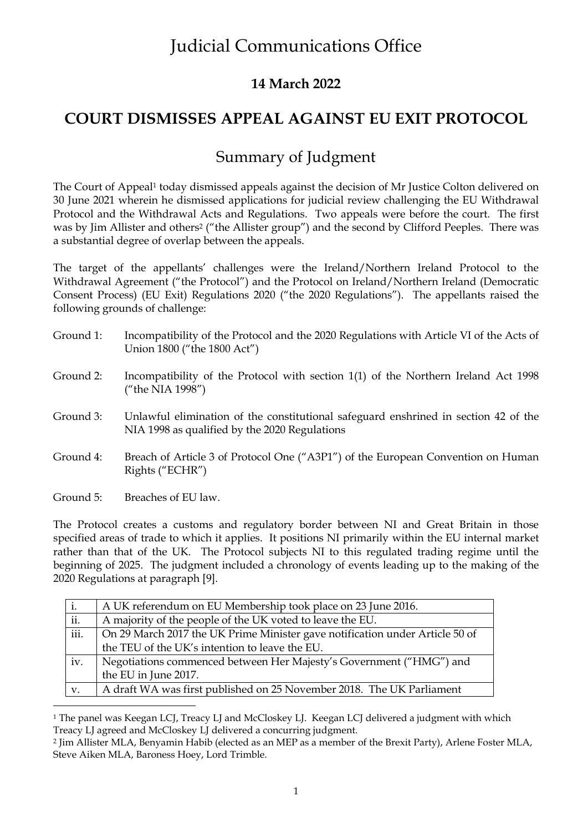### **14 March 2022**

## **COURT DISMISSES APPEAL AGAINST EU EXIT PROTOCOL**

## Summary of Judgment

The Court of Appeal<sup>1</sup> today dismissed appeals against the decision of Mr Justice Colton delivered on 30 June 2021 wherein he dismissed applications for judicial review challenging the EU Withdrawal Protocol and the Withdrawal Acts and Regulations. Two appeals were before the court. The first was by Jim Allister and others<sup>2</sup> ("the Allister group") and the second by Clifford Peeples. There was a substantial degree of overlap between the appeals.

The target of the appellants' challenges were the Ireland/Northern Ireland Protocol to the Withdrawal Agreement ("the Protocol") and the Protocol on Ireland/Northern Ireland (Democratic Consent Process) (EU Exit) Regulations 2020 ("the 2020 Regulations"). The appellants raised the following grounds of challenge:

| Ground 1: | Incompatibility of the Protocol and the 2020 Regulations with Article VI of the Acts of<br>Union 1800 ("the 1800 Act")               |
|-----------|--------------------------------------------------------------------------------------------------------------------------------------|
| Ground 2: | Incompatibility of the Protocol with section 1(1) of the Northern Ireland Act 1998<br>("the NIA 1998")                               |
| Ground 3: | Unlawful elimination of the constitutional safeguard enshrined in section 42 of the<br>NIA 1998 as qualified by the 2020 Regulations |
| Ground 4: | Breach of Article 3 of Protocol One ("A3P1") of the European Convention on Human<br>Rights ("ECHR")                                  |
|           |                                                                                                                                      |

Ground 5: Breaches of EU law.

<u>.</u>

The Protocol creates a customs and regulatory border between NI and Great Britain in those specified areas of trade to which it applies. It positions NI primarily within the EU internal market rather than that of the UK. The Protocol subjects NI to this regulated trading regime until the beginning of 2025. The judgment included a chronology of events leading up to the making of the 2020 Regulations at paragraph [9].

| i.   | A UK referendum on EU Membership took place on 23 June 2016.                 |
|------|------------------------------------------------------------------------------|
| ii.  | A majority of the people of the UK voted to leave the EU.                    |
| iii. | On 29 March 2017 the UK Prime Minister gave notification under Article 50 of |
|      | the TEU of the UK's intention to leave the EU.                               |
| iv.  | Negotiations commenced between Her Majesty's Government ("HMG") and          |
|      | the EU in June 2017.                                                         |
| v.   | A draft WA was first published on 25 November 2018. The UK Parliament        |

<sup>&</sup>lt;sup>1</sup> The panel was Keegan LCJ, Treacy LJ and McCloskey LJ. Keegan LCJ delivered a judgment with which Treacy LJ agreed and McCloskey LJ delivered a concurring judgment.

<sup>2</sup> Jim Allister MLA, Benyamin Habib (elected as an MEP as a member of the Brexit Party), Arlene Foster MLA, Steve Aiken MLA, Baroness Hoey, Lord Trimble.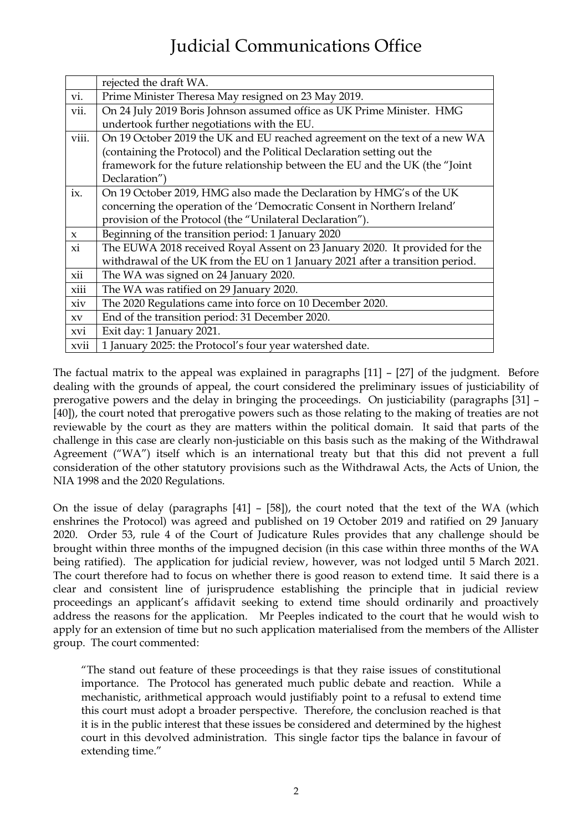|              | rejected the draft WA.                                                        |
|--------------|-------------------------------------------------------------------------------|
| vi.          | Prime Minister Theresa May resigned on 23 May 2019.                           |
| vii.         | On 24 July 2019 Boris Johnson assumed office as UK Prime Minister. HMG        |
|              | undertook further negotiations with the EU.                                   |
| viii.        | On 19 October 2019 the UK and EU reached agreement on the text of a new WA    |
|              | (containing the Protocol) and the Political Declaration setting out the       |
|              | framework for the future relationship between the EU and the UK (the "Joint   |
|              | Declaration")                                                                 |
| ix.          | On 19 October 2019, HMG also made the Declaration by HMG's of the UK          |
|              | concerning the operation of the 'Democratic Consent in Northern Ireland'      |
|              | provision of the Protocol (the "Unilateral Declaration").                     |
| $\mathbf{x}$ | Beginning of the transition period: 1 January 2020                            |
| xi           | The EUWA 2018 received Royal Assent on 23 January 2020. It provided for the   |
|              | withdrawal of the UK from the EU on 1 January 2021 after a transition period. |
| xii          | The WA was signed on 24 January 2020.                                         |
| xiii         | The WA was ratified on 29 January 2020.                                       |
| xiv          | The 2020 Regulations came into force on 10 December 2020.                     |
| XV           | End of the transition period: 31 December 2020.                               |
| xvi          | Exit day: 1 January 2021.                                                     |
| xvii         | 1 January 2025: the Protocol's four year watershed date.                      |

The factual matrix to the appeal was explained in paragraphs [11] – [27] of the judgment. Before dealing with the grounds of appeal, the court considered the preliminary issues of justiciability of prerogative powers and the delay in bringing the proceedings. On justiciability (paragraphs [31] – [40]), the court noted that prerogative powers such as those relating to the making of treaties are not reviewable by the court as they are matters within the political domain. It said that parts of the challenge in this case are clearly non-justiciable on this basis such as the making of the Withdrawal Agreement ("WA") itself which is an international treaty but that this did not prevent a full consideration of the other statutory provisions such as the Withdrawal Acts, the Acts of Union, the NIA 1998 and the 2020 Regulations.

On the issue of delay (paragraphs [41] – [58]), the court noted that the text of the WA (which enshrines the Protocol) was agreed and published on 19 October 2019 and ratified on 29 January 2020. Order 53, rule 4 of the Court of Judicature Rules provides that any challenge should be brought within three months of the impugned decision (in this case within three months of the WA being ratified). The application for judicial review, however, was not lodged until 5 March 2021. The court therefore had to focus on whether there is good reason to extend time. It said there is a clear and consistent line of jurisprudence establishing the principle that in judicial review proceedings an applicant's affidavit seeking to extend time should ordinarily and proactively address the reasons for the application. Mr Peeples indicated to the court that he would wish to apply for an extension of time but no such application materialised from the members of the Allister group. The court commented:

"The stand out feature of these proceedings is that they raise issues of constitutional importance. The Protocol has generated much public debate and reaction. While a mechanistic, arithmetical approach would justifiably point to a refusal to extend time this court must adopt a broader perspective. Therefore, the conclusion reached is that it is in the public interest that these issues be considered and determined by the highest court in this devolved administration. This single factor tips the balance in favour of extending time."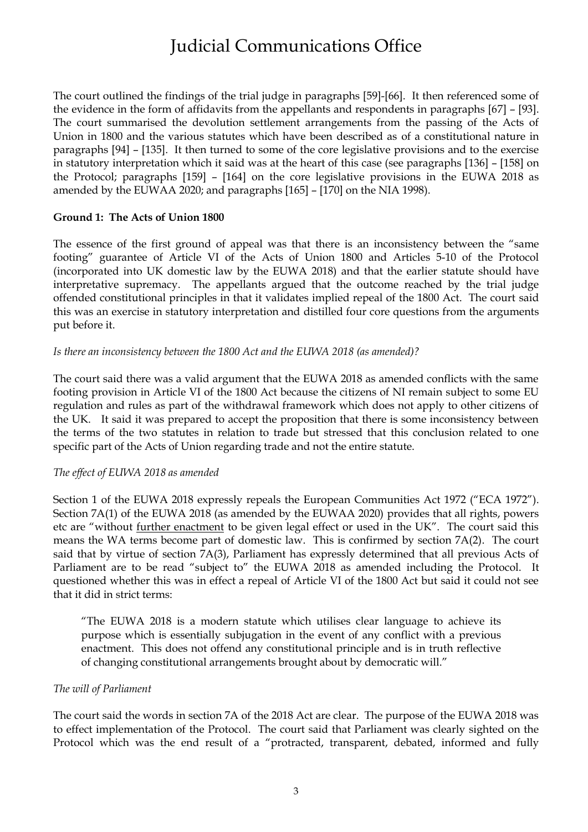The court outlined the findings of the trial judge in paragraphs [59]-[66]. It then referenced some of the evidence in the form of affidavits from the appellants and respondents in paragraphs [67] – [93]. The court summarised the devolution settlement arrangements from the passing of the Acts of Union in 1800 and the various statutes which have been described as of a constitutional nature in paragraphs [94] – [135]. It then turned to some of the core legislative provisions and to the exercise in statutory interpretation which it said was at the heart of this case (see paragraphs [136] – [158] on the Protocol; paragraphs [159] – [164] on the core legislative provisions in the EUWA 2018 as amended by the EUWAA 2020; and paragraphs [165] – [170] on the NIA 1998).

#### **Ground 1: The Acts of Union 1800**

The essence of the first ground of appeal was that there is an inconsistency between the "same footing" guarantee of Article VI of the Acts of Union 1800 and Articles 5-10 of the Protocol (incorporated into UK domestic law by the EUWA 2018) and that the earlier statute should have interpretative supremacy. The appellants argued that the outcome reached by the trial judge offended constitutional principles in that it validates implied repeal of the 1800 Act. The court said this was an exercise in statutory interpretation and distilled four core questions from the arguments put before it.

#### *Is there an inconsistency between the 1800 Act and the EUWA 2018 (as amended)?*

The court said there was a valid argument that the EUWA 2018 as amended conflicts with the same footing provision in Article VI of the 1800 Act because the citizens of NI remain subject to some EU regulation and rules as part of the withdrawal framework which does not apply to other citizens of the UK. It said it was prepared to accept the proposition that there is some inconsistency between the terms of the two statutes in relation to trade but stressed that this conclusion related to one specific part of the Acts of Union regarding trade and not the entire statute.

#### *The effect of EUWA 2018 as amended*

Section 1 of the EUWA 2018 expressly repeals the European Communities Act 1972 ("ECA 1972"). Section 7A(1) of the EUWA 2018 (as amended by the EUWAA 2020) provides that all rights, powers etc are "without further enactment to be given legal effect or used in the UK". The court said this means the WA terms become part of domestic law. This is confirmed by section 7A(2). The court said that by virtue of section 7A(3), Parliament has expressly determined that all previous Acts of Parliament are to be read "subject to" the EUWA 2018 as amended including the Protocol. It questioned whether this was in effect a repeal of Article VI of the 1800 Act but said it could not see that it did in strict terms:

"The EUWA 2018 is a modern statute which utilises clear language to achieve its purpose which is essentially subjugation in the event of any conflict with a previous enactment. This does not offend any constitutional principle and is in truth reflective of changing constitutional arrangements brought about by democratic will."

#### *The will of Parliament*

The court said the words in section 7A of the 2018 Act are clear. The purpose of the EUWA 2018 was to effect implementation of the Protocol. The court said that Parliament was clearly sighted on the Protocol which was the end result of a "protracted, transparent, debated, informed and fully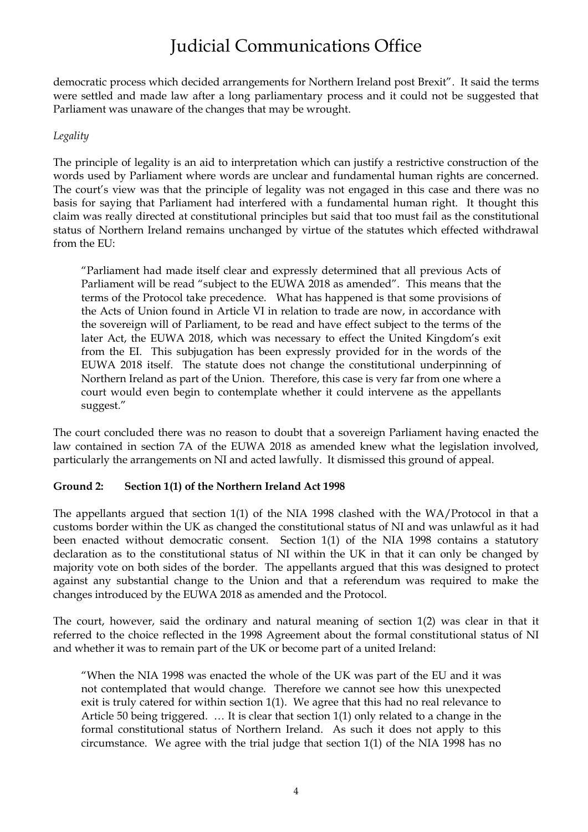democratic process which decided arrangements for Northern Ireland post Brexit". It said the terms were settled and made law after a long parliamentary process and it could not be suggested that Parliament was unaware of the changes that may be wrought.

#### *Legality*

The principle of legality is an aid to interpretation which can justify a restrictive construction of the words used by Parliament where words are unclear and fundamental human rights are concerned. The court's view was that the principle of legality was not engaged in this case and there was no basis for saying that Parliament had interfered with a fundamental human right. It thought this claim was really directed at constitutional principles but said that too must fail as the constitutional status of Northern Ireland remains unchanged by virtue of the statutes which effected withdrawal from the EU:

"Parliament had made itself clear and expressly determined that all previous Acts of Parliament will be read "subject to the EUWA 2018 as amended". This means that the terms of the Protocol take precedence. What has happened is that some provisions of the Acts of Union found in Article VI in relation to trade are now, in accordance with the sovereign will of Parliament, to be read and have effect subject to the terms of the later Act, the EUWA 2018, which was necessary to effect the United Kingdom's exit from the EI. This subjugation has been expressly provided for in the words of the EUWA 2018 itself. The statute does not change the constitutional underpinning of Northern Ireland as part of the Union. Therefore, this case is very far from one where a court would even begin to contemplate whether it could intervene as the appellants suggest."

The court concluded there was no reason to doubt that a sovereign Parliament having enacted the law contained in section 7A of the EUWA 2018 as amended knew what the legislation involved, particularly the arrangements on NI and acted lawfully. It dismissed this ground of appeal.

### **Ground 2: Section 1(1) of the Northern Ireland Act 1998**

The appellants argued that section 1(1) of the NIA 1998 clashed with the WA/Protocol in that a customs border within the UK as changed the constitutional status of NI and was unlawful as it had been enacted without democratic consent. Section 1(1) of the NIA 1998 contains a statutory declaration as to the constitutional status of NI within the UK in that it can only be changed by majority vote on both sides of the border. The appellants argued that this was designed to protect against any substantial change to the Union and that a referendum was required to make the changes introduced by the EUWA 2018 as amended and the Protocol.

The court, however, said the ordinary and natural meaning of section 1(2) was clear in that it referred to the choice reflected in the 1998 Agreement about the formal constitutional status of NI and whether it was to remain part of the UK or become part of a united Ireland:

"When the NIA 1998 was enacted the whole of the UK was part of the EU and it was not contemplated that would change. Therefore we cannot see how this unexpected exit is truly catered for within section 1(1). We agree that this had no real relevance to Article 50 being triggered. … It is clear that section 1(1) only related to a change in the formal constitutional status of Northern Ireland. As such it does not apply to this circumstance. We agree with the trial judge that section 1(1) of the NIA 1998 has no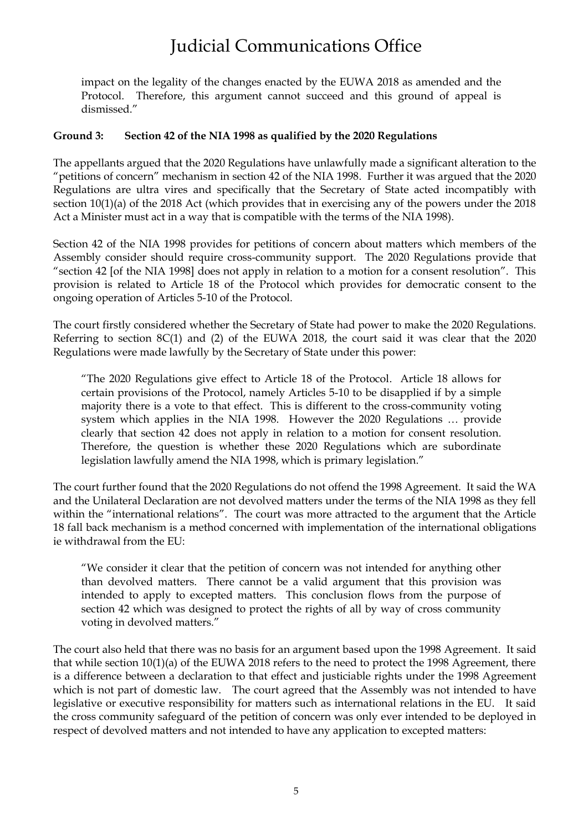impact on the legality of the changes enacted by the EUWA 2018 as amended and the Protocol. Therefore, this argument cannot succeed and this ground of appeal is dismissed."

#### **Ground 3: Section 42 of the NIA 1998 as qualified by the 2020 Regulations**

The appellants argued that the 2020 Regulations have unlawfully made a significant alteration to the "petitions of concern" mechanism in section 42 of the NIA 1998. Further it was argued that the 2020 Regulations are ultra vires and specifically that the Secretary of State acted incompatibly with section 10(1)(a) of the 2018 Act (which provides that in exercising any of the powers under the 2018 Act a Minister must act in a way that is compatible with the terms of the NIA 1998).

Section 42 of the NIA 1998 provides for petitions of concern about matters which members of the Assembly consider should require cross-community support. The 2020 Regulations provide that "section 42 [of the NIA 1998] does not apply in relation to a motion for a consent resolution". This provision is related to Article 18 of the Protocol which provides for democratic consent to the ongoing operation of Articles 5-10 of the Protocol.

The court firstly considered whether the Secretary of State had power to make the 2020 Regulations. Referring to section 8C(1) and (2) of the EUWA 2018, the court said it was clear that the 2020 Regulations were made lawfully by the Secretary of State under this power:

"The 2020 Regulations give effect to Article 18 of the Protocol. Article 18 allows for certain provisions of the Protocol, namely Articles 5-10 to be disapplied if by a simple majority there is a vote to that effect. This is different to the cross-community voting system which applies in the NIA 1998. However the 2020 Regulations … provide clearly that section 42 does not apply in relation to a motion for consent resolution. Therefore, the question is whether these 2020 Regulations which are subordinate legislation lawfully amend the NIA 1998, which is primary legislation."

The court further found that the 2020 Regulations do not offend the 1998 Agreement. It said the WA and the Unilateral Declaration are not devolved matters under the terms of the NIA 1998 as they fell within the "international relations". The court was more attracted to the argument that the Article 18 fall back mechanism is a method concerned with implementation of the international obligations ie withdrawal from the EU:

"We consider it clear that the petition of concern was not intended for anything other than devolved matters. There cannot be a valid argument that this provision was intended to apply to excepted matters. This conclusion flows from the purpose of section 42 which was designed to protect the rights of all by way of cross community voting in devolved matters."

The court also held that there was no basis for an argument based upon the 1998 Agreement. It said that while section 10(1)(a) of the EUWA 2018 refers to the need to protect the 1998 Agreement, there is a difference between a declaration to that effect and justiciable rights under the 1998 Agreement which is not part of domestic law. The court agreed that the Assembly was not intended to have legislative or executive responsibility for matters such as international relations in the EU. It said the cross community safeguard of the petition of concern was only ever intended to be deployed in respect of devolved matters and not intended to have any application to excepted matters: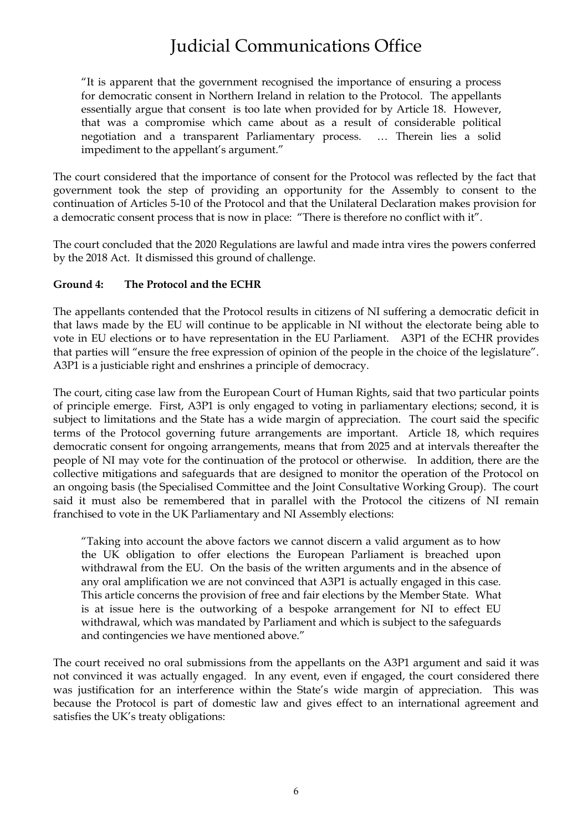"It is apparent that the government recognised the importance of ensuring a process for democratic consent in Northern Ireland in relation to the Protocol. The appellants essentially argue that consent is too late when provided for by Article 18. However, that was a compromise which came about as a result of considerable political negotiation and a transparent Parliamentary process. … Therein lies a solid impediment to the appellant's argument."

The court considered that the importance of consent for the Protocol was reflected by the fact that government took the step of providing an opportunity for the Assembly to consent to the continuation of Articles 5-10 of the Protocol and that the Unilateral Declaration makes provision for a democratic consent process that is now in place: "There is therefore no conflict with it".

The court concluded that the 2020 Regulations are lawful and made intra vires the powers conferred by the 2018 Act. It dismissed this ground of challenge.

### **Ground 4: The Protocol and the ECHR**

The appellants contended that the Protocol results in citizens of NI suffering a democratic deficit in that laws made by the EU will continue to be applicable in NI without the electorate being able to vote in EU elections or to have representation in the EU Parliament. A3P1 of the ECHR provides that parties will "ensure the free expression of opinion of the people in the choice of the legislature". A3P1 is a justiciable right and enshrines a principle of democracy.

The court, citing case law from the European Court of Human Rights, said that two particular points of principle emerge. First, A3P1 is only engaged to voting in parliamentary elections; second, it is subject to limitations and the State has a wide margin of appreciation. The court said the specific terms of the Protocol governing future arrangements are important. Article 18, which requires democratic consent for ongoing arrangements, means that from 2025 and at intervals thereafter the people of NI may vote for the continuation of the protocol or otherwise. In addition, there are the collective mitigations and safeguards that are designed to monitor the operation of the Protocol on an ongoing basis (the Specialised Committee and the Joint Consultative Working Group). The court said it must also be remembered that in parallel with the Protocol the citizens of NI remain franchised to vote in the UK Parliamentary and NI Assembly elections:

"Taking into account the above factors we cannot discern a valid argument as to how the UK obligation to offer elections the European Parliament is breached upon withdrawal from the EU. On the basis of the written arguments and in the absence of any oral amplification we are not convinced that A3P1 is actually engaged in this case. This article concerns the provision of free and fair elections by the Member State.What is at issue here is the outworking of a bespoke arrangement for NI to effect EU withdrawal, which was mandated by Parliament and which is subject to the safeguards and contingencies we have mentioned above."

The court received no oral submissions from the appellants on the A3P1 argument and said it was not convinced it was actually engaged. In any event, even if engaged, the court considered there was justification for an interference within the State's wide margin of appreciation. This was because the Protocol is part of domestic law and gives effect to an international agreement and satisfies the UK's treaty obligations: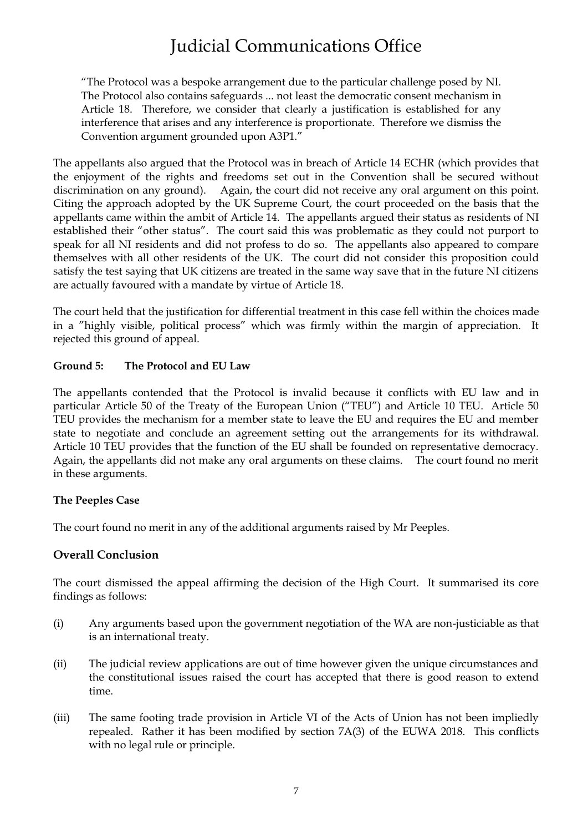"The Protocol was a bespoke arrangement due to the particular challenge posed by NI. The Protocol also contains safeguards ... not least the democratic consent mechanism in Article 18. Therefore, we consider that clearly a justification is established for any interference that arises and any interference is proportionate. Therefore we dismiss the Convention argument grounded upon A3P1."

The appellants also argued that the Protocol was in breach of Article 14 ECHR (which provides that the enjoyment of the rights and freedoms set out in the Convention shall be secured without discrimination on any ground). Again, the court did not receive any oral argument on this point. Citing the approach adopted by the UK Supreme Court, the court proceeded on the basis that the appellants came within the ambit of Article 14. The appellants argued their status as residents of NI established their "other status". The court said this was problematic as they could not purport to speak for all NI residents and did not profess to do so. The appellants also appeared to compare themselves with all other residents of the UK. The court did not consider this proposition could satisfy the test saying that UK citizens are treated in the same way save that in the future NI citizens are actually favoured with a mandate by virtue of Article 18.

The court held that the justification for differential treatment in this case fell within the choices made in a "highly visible, political process" which was firmly within the margin of appreciation. It rejected this ground of appeal.

### **Ground 5: The Protocol and EU Law**

The appellants contended that the Protocol is invalid because it conflicts with EU law and in particular Article 50 of the Treaty of the European Union ("TEU") and Article 10 TEU. Article 50 TEU provides the mechanism for a member state to leave the EU and requires the EU and member state to negotiate and conclude an agreement setting out the arrangements for its withdrawal. Article 10 TEU provides that the function of the EU shall be founded on representative democracy. Again, the appellants did not make any oral arguments on these claims. The court found no merit in these arguments.

### **The Peeples Case**

The court found no merit in any of the additional arguments raised by Mr Peeples.

### **Overall Conclusion**

The court dismissed the appeal affirming the decision of the High Court. It summarised its core findings as follows:

- (i) Any arguments based upon the government negotiation of the WA are non-justiciable as that is an international treaty.
- (ii) The judicial review applications are out of time however given the unique circumstances and the constitutional issues raised the court has accepted that there is good reason to extend time.
- (iii) The same footing trade provision in Article VI of the Acts of Union has not been impliedly repealed. Rather it has been modified by section 7A(3) of the EUWA 2018. This conflicts with no legal rule or principle.